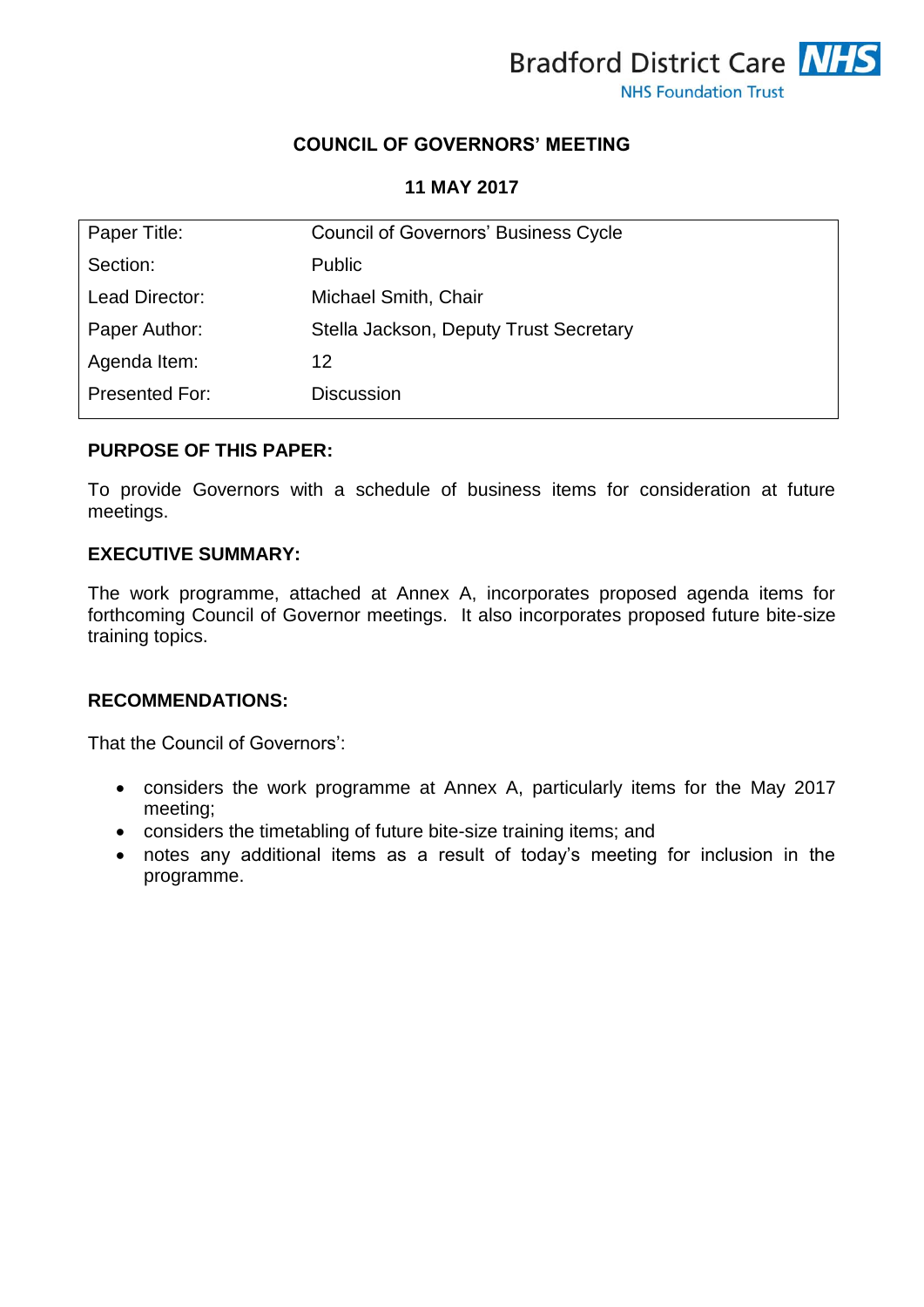

## **COUNCIL OF GOVERNORS' MEETING**

#### **11 MAY 2017**

| Paper Title:   | <b>Council of Governors' Business Cycle</b> |
|----------------|---------------------------------------------|
| Section:       | <b>Public</b>                               |
| Lead Director: | Michael Smith, Chair                        |
| Paper Author:  | Stella Jackson, Deputy Trust Secretary      |
| Agenda Item:   | 12                                          |
| Presented For: | <b>Discussion</b>                           |

#### **PURPOSE OF THIS PAPER:**

To provide Governors with a schedule of business items for consideration at future meetings.

#### **EXECUTIVE SUMMARY:**

The work programme, attached at Annex A, incorporates proposed agenda items for forthcoming Council of Governor meetings. It also incorporates proposed future bite-size training topics.

### **RECOMMENDATIONS:**

That the Council of Governors':

- considers the work programme at Annex A, particularly items for the May 2017 meeting;
- considers the timetabling of future bite-size training items; and
- notes any additional items as a result of today's meeting for inclusion in the programme.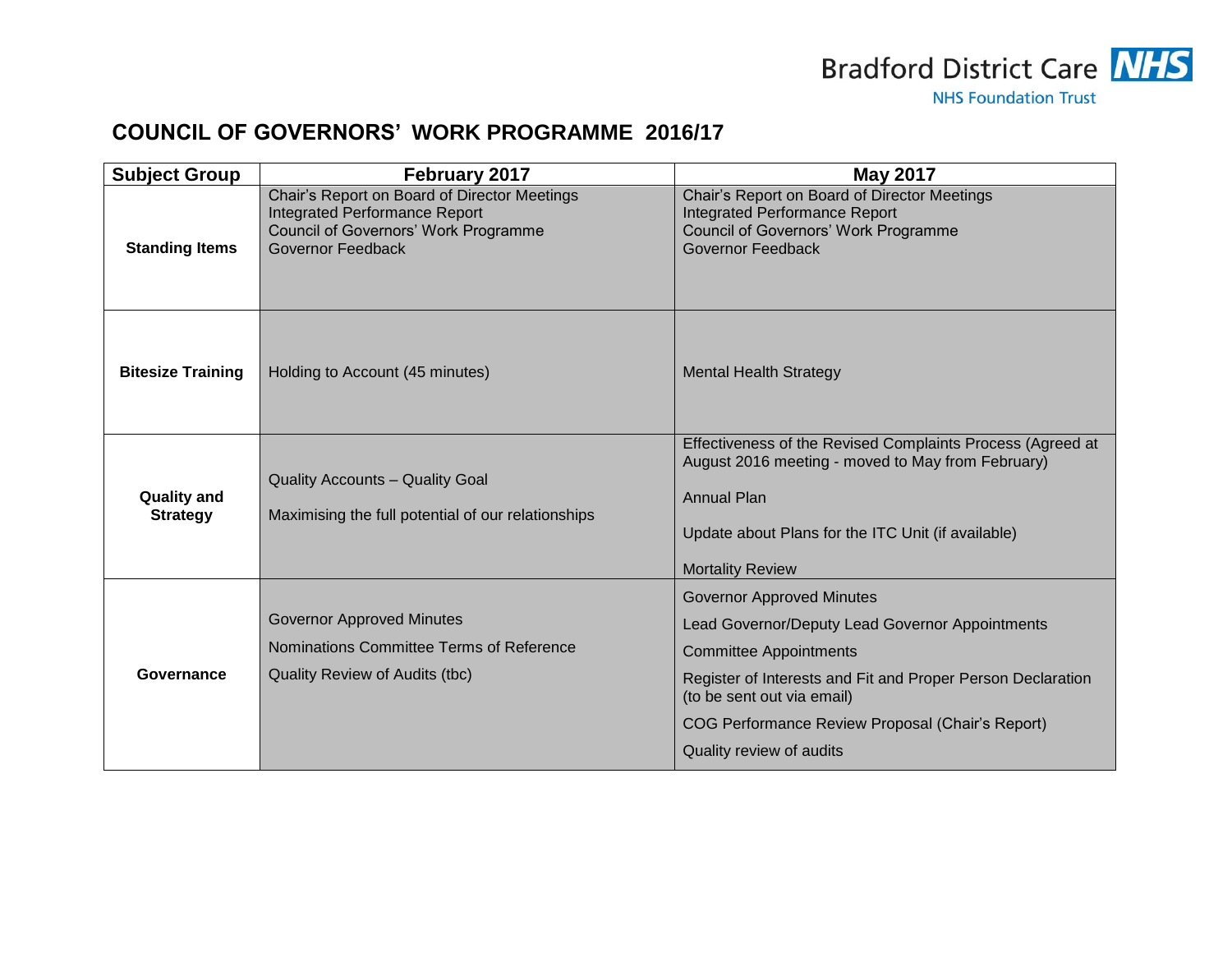

# **COUNCIL OF GOVERNORS' WORK PROGRAMME 2016/17**

| <b>Subject Group</b>                  | February 2017                                                                                                                                     | <b>May 2017</b>                                                                                                                                                                                                                                                                                   |
|---------------------------------------|---------------------------------------------------------------------------------------------------------------------------------------------------|---------------------------------------------------------------------------------------------------------------------------------------------------------------------------------------------------------------------------------------------------------------------------------------------------|
| <b>Standing Items</b>                 | Chair's Report on Board of Director Meetings<br><b>Integrated Performance Report</b><br>Council of Governors' Work Programme<br>Governor Feedback | Chair's Report on Board of Director Meetings<br><b>Integrated Performance Report</b><br><b>Council of Governors' Work Programme</b><br>Governor Feedback                                                                                                                                          |
| <b>Bitesize Training</b>              | Holding to Account (45 minutes)                                                                                                                   | <b>Mental Health Strategy</b>                                                                                                                                                                                                                                                                     |
| <b>Quality and</b><br><b>Strategy</b> | <b>Quality Accounts - Quality Goal</b><br>Maximising the full potential of our relationships                                                      | Effectiveness of the Revised Complaints Process (Agreed at<br>August 2016 meeting - moved to May from February)<br><b>Annual Plan</b><br>Update about Plans for the ITC Unit (if available)<br><b>Mortality Review</b>                                                                            |
| Governance                            | <b>Governor Approved Minutes</b><br>Nominations Committee Terms of Reference<br><b>Quality Review of Audits (tbc)</b>                             | <b>Governor Approved Minutes</b><br>Lead Governor/Deputy Lead Governor Appointments<br><b>Committee Appointments</b><br>Register of Interests and Fit and Proper Person Declaration<br>(to be sent out via email)<br>COG Performance Review Proposal (Chair's Report)<br>Quality review of audits |